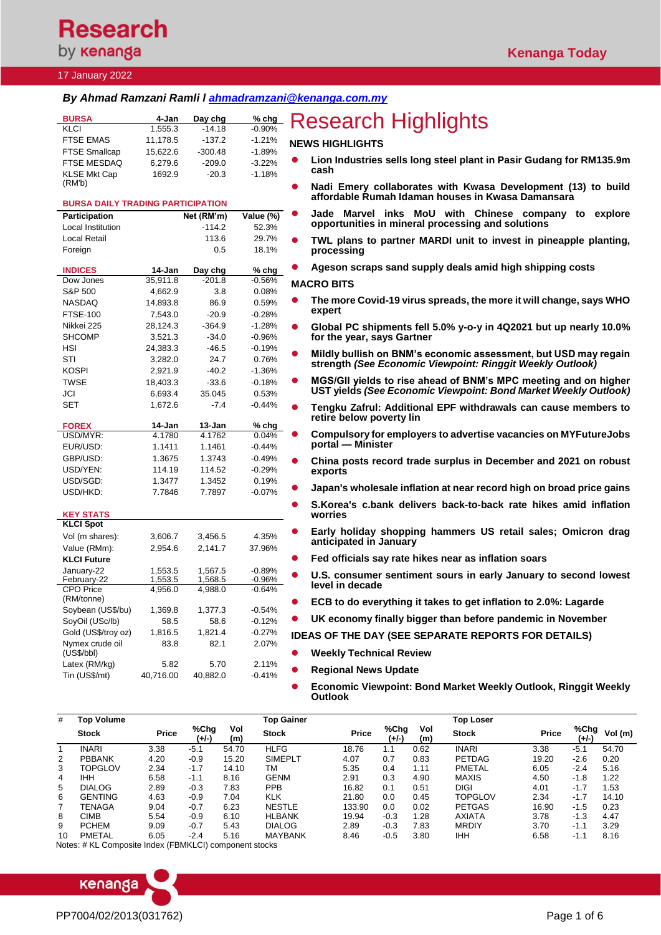# **Research** by **kenanga**

### 17 January 2022

## *By Ahmad Ramzani Ramli l [ahmadramzani@kenanga.com.my](mailto:ahmadramzani@kenanga.com.my)*

| <b>BURSA</b>                                       | 4-Jan              | Day chg            | $%$ chg              | <b>Research Highlights</b>                                                                                                         |
|----------------------------------------------------|--------------------|--------------------|----------------------|------------------------------------------------------------------------------------------------------------------------------------|
| <b>KLCI</b>                                        | 1,555.3            | $-14.18$           | $-0.90%$             |                                                                                                                                    |
| <b>FTSE EMAS</b>                                   | 11,178.5           | $-137.2$           | $-1.21%$             | <b>NEWS HIGHLIGHTS</b>                                                                                                             |
| <b>FTSE Smallcap</b>                               | 15,622.6           | -300.48            | $-1.89%$             |                                                                                                                                    |
| FTSE MESDAQ                                        | 6,279.6            | $-209.0$           | $-3.22%$             | Lion Industries sells long steel plant in Pasir Gudang for RM135.9m<br>$\bullet$<br>cash                                           |
| <b>KLSE Mkt Cap</b>                                | 1692.9             | $-20.3$            | $-1.18%$             |                                                                                                                                    |
| (RM'b)<br><b>BURSA DAILY TRADING PARTICIPATION</b> |                    |                    |                      | Nadi Emery collaborates with Kwasa Development (13) to build<br>$\bullet$<br>affordable Rumah Idaman houses in Kwasa Damansara     |
| <b>Participation</b>                               |                    | Net (RM'm)         | Value (%)            | Jade Marvel inks MoU with Chinese company to explore<br>$\bullet$                                                                  |
| Local Institution                                  |                    | $-114.2$           | 52.3%                | opportunities in mineral processing and solutions                                                                                  |
| <b>Local Retail</b>                                |                    | 113.6              | 29.7%                | $\bullet$                                                                                                                          |
| Foreign                                            |                    | 0.5                | 18.1%                | TWL plans to partner MARDI unit to invest in pineapple planting,<br>processing                                                     |
|                                                    |                    |                    |                      |                                                                                                                                    |
| <b>INDICES</b>                                     | 14-Jan             | Day chg            | $%$ chg              | Ageson scraps sand supply deals amid high shipping costs                                                                           |
| Dow Jones                                          | 35,911.8           | $-201.8$           | $-0.56%$             | <b>MACRO BITS</b>                                                                                                                  |
| S&P 500                                            | 4,662.9            | 3.8                | 0.08%                |                                                                                                                                    |
| <b>NASDAQ</b>                                      | 14,893.8           | 86.9               | 0.59%                | The more Covid-19 virus spreads, the more it will change, says WHO                                                                 |
| <b>FTSE-100</b>                                    | 7,543.0            | $-20.9$            | $-0.28%$             | expert                                                                                                                             |
| Nikkei 225                                         | 28,124.3           | $-364.9$           | $-1.28%$             | Global PC shipments fell 5.0% y-o-y in 4Q2021 but up nearly 10.0%<br>$\bullet$                                                     |
| <b>SHCOMP</b>                                      | 3,521.3            | $-34.0$            | $-0.96%$             | for the year, says Gartner                                                                                                         |
| HSI                                                | 24,383.3           | $-46.5$            | $-0.19%$             | Mildly bullish on BNM's economic assessment, but USD may regain                                                                    |
| STI                                                | 3,282.0            | 24.7               | 0.76%                | strength (See Economic Viewpoint: Ringgit Weekly Outlook)                                                                          |
| KOSPI                                              | 2,921.9            | $-40.2$            | $-1.36%$             |                                                                                                                                    |
| <b>TWSE</b>                                        | 18,403.3           | $-33.6$            | $-0.18%$             | MGS/GII yields to rise ahead of BNM's MPC meeting and on higher<br>UST yields (See Economic Viewpoint: Bond Market Weekly Outlook) |
| JCI                                                | 6,693.4            | 35.045             | 0.53%                |                                                                                                                                    |
| <b>SET</b>                                         | 1,672.6            | $-7.4$             | $-0.44%$             | Tengku Zafrul: Additional EPF withdrawals can cause members to                                                                     |
| <b>FOREX</b>                                       | 14-Jan             | 13-Jan             | $%$ chg              | retire below poverty lin                                                                                                           |
| USD/MYR:                                           | 4.1780             | 4.1762             | 0.04%                | Compulsory for employers to advertise vacancies on MYFutureJobs                                                                    |
| EUR/USD:                                           | 1.1411             | 1.1461             | $-0.44%$             | portal - Minister                                                                                                                  |
| GBP/USD:                                           | 1.3675             | 1.3743             | $-0.49%$             | China posts record trade surplus in December and 2021 on robust<br>$\bullet$                                                       |
| USD/YEN:                                           | 114.19             | 114.52             | $-0.29%$             | exports                                                                                                                            |
| USD/SGD:                                           | 1.3477             | 1.3452             | 0.19%                |                                                                                                                                    |
| USD/HKD:                                           | 7.7846             | 7.7897             | $-0.07%$             | Japan's wholesale inflation at near record high on broad price gains                                                               |
|                                                    |                    |                    |                      | S. Korea's c. bank delivers back-to-back rate hikes amid inflation                                                                 |
| <b>KEY STATS</b>                                   |                    |                    |                      | worries                                                                                                                            |
| <b>KLCI Spot</b>                                   |                    |                    |                      | Early holiday shopping hammers US retail sales; Omicron drag                                                                       |
| Vol (m shares):                                    | 3,606.7            | 3,456.5            | 4.35%                | anticipated in January                                                                                                             |
| Value (RMm):                                       | 2,954.6            | 2.141.7            | 37.96%               |                                                                                                                                    |
| <b>KLCI Future</b>                                 |                    |                    |                      | Fed officials say rate hikes near as inflation soars                                                                               |
| January-22                                         | 1,553.5            | 1,567.5            | $-0.89%$             | U.S. consumer sentiment sours in early January to second lowest                                                                    |
| February-22<br><b>CPO Price</b>                    | 1,553.5<br>4.956.0 | 1,568.5<br>4,988.0 | $-0.96%$<br>$-0.64%$ | level in decade                                                                                                                    |
| (RM/tonne)                                         |                    |                    |                      |                                                                                                                                    |
| Soybean (US\$/bu)                                  | 1,369.8            | 1,377.3            | $-0.54%$             | ECB to do everything it takes to get inflation to 2.0%: Lagarde                                                                    |
| SoyOil (USc/lb)                                    | 58.5               | 58.6               | $-0.12%$             | UK economy finally bigger than before pandemic in November                                                                         |
| Gold (US\$/troy oz)                                | 1,816.5            | 1,821.4            | $-0.27%$             | <b>IDEAS OF THE DAY (SEE SEPARATE REPORTS FOR DETAILS)</b>                                                                         |
| Nymex crude oil                                    | 83.8               | 82.1               | 2.07%                |                                                                                                                                    |
| (US\$/bbI)                                         |                    |                    |                      | <b>Weekly Technical Review</b>                                                                                                     |
| Latex (RM/kg)                                      | 5.82               | 5.70               | 2.11%                | <b>Regional News Update</b>                                                                                                        |
| Tin (US\$/mt)                                      | 40,716.00          | 40,882.0           | $-0.41%$             |                                                                                                                                    |
|                                                    |                    |                    |                      | Economic Viewpoint: Bond Market Weekly Outlook, Ringgit Weekly<br><b>Outlook</b>                                                   |
|                                                    |                    |                    |                      |                                                                                                                                    |

| #  | <b>Top Volume</b> |              |               |            | <b>Top Gainer</b> |              |               |            | Top Loser      |              |               |        |
|----|-------------------|--------------|---------------|------------|-------------------|--------------|---------------|------------|----------------|--------------|---------------|--------|
|    | <b>Stock</b>      | <b>Price</b> | %Chq<br>(+/-) | Vol<br>(m) | <b>Stock</b>      | <b>Price</b> | %Chg<br>(+/-) | Vol<br>(m) | <b>Stock</b>   | <b>Price</b> | %Chg<br>(+/-) | Vol(m) |
|    | <b>INARI</b>      | 3.38         | $-5.1$        | 54.70      | <b>HLFG</b>       | 18.76        | 1.1           | 0.62       | <b>INARI</b>   | 3.38         | $-5.1$        | 54.70  |
| 2  | <b>PBBANK</b>     | 4.20         | $-0.9$        | 15.20      | <b>SIMEPLT</b>    | 4.07         | 0.7           | 0.83       | <b>PETDAG</b>  | 19.20        | $-2.6$        | 0.20   |
| 3  | <b>TOPGLOV</b>    | 2.34         | $-1.7$        | 14.10      | TM                | 5.35         | 0.4           | 1.11       | <b>PMETAL</b>  | 6.05         | $-2.4$        | 5.16   |
| 4  | <b>IHH</b>        | 6.58         | $-1.1$        | 8.16       | <b>GENM</b>       | 2.91         | 0.3           | 4.90       | MAXIS          | 4.50         | $-1.8$        | 1.22   |
| 5  | <b>DIALOG</b>     | 2.89         | $-0.3$        | 7.83       | <b>PPB</b>        | 16.82        | 0.1           | 0.51       | DIGI           | 4.01         | $-1.7$        | 1.53   |
| 6  | <b>GENTING</b>    | 4.63         | $-0.9$        | 7.04       | <b>KLK</b>        | 21.80        | 0.0           | 0.45       | <b>TOPGLOV</b> | 2.34         | $-1.7$        | 14.10  |
|    | TENAGA            | 9.04         | $-0.7$        | 6.23       | <b>NESTLE</b>     | 133.90       | 0.0           | 0.02       | <b>PETGAS</b>  | 16.90        | $-1.5$        | 0.23   |
| 8  | <b>CIMB</b>       | 5.54         | $-0.9$        | 6.10       | <b>HLBANK</b>     | 19.94        | $-0.3$        | 1.28       | <b>AXIATA</b>  | 3.78         | $-1.3$        | 4.47   |
| 9  | <b>PCHEM</b>      | 9.09         | $-0.7$        | 5.43       | <b>DIALOG</b>     | 2.89         | $-0.3$        | 7.83       | <b>MRDIY</b>   | 3.70         | -1.1          | 3.29   |
| 10 | PMETAL            | 6.05         | $-2.4$        | 5.16       | <b>MAYBANK</b>    | 8.46         | $-0.5$        | 3.80       | IHH            | 6.58         | $-1.1$        | 8.16   |

Notes: # KL Composite Index (FBMKLCI) component stocks

kenanga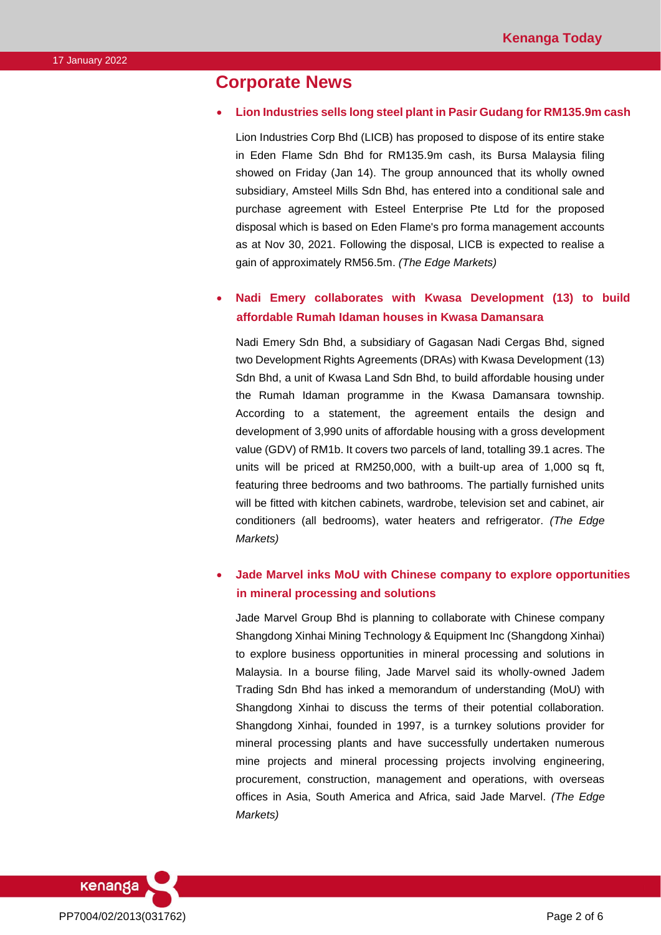# **Corporate News**

#### • **Lion Industries sells long steel plant in Pasir Gudang for RM135.9m cash**

Lion Industries Corp Bhd (LICB) has proposed to dispose of its entire stake in Eden Flame Sdn Bhd for RM135.9m cash, its Bursa Malaysia filing showed on Friday (Jan 14). The group announced that its wholly owned subsidiary, Amsteel Mills Sdn Bhd, has entered into a conditional sale and purchase agreement with Esteel Enterprise Pte Ltd for the proposed disposal which is based on Eden Flame's pro forma management accounts as at Nov 30, 2021. Following the disposal, LICB is expected to realise a gain of approximately RM56.5m. *(The Edge Markets)*

### • **Nadi Emery collaborates with Kwasa Development (13) to build affordable Rumah Idaman houses in Kwasa Damansara**

Nadi Emery Sdn Bhd, a subsidiary of Gagasan Nadi Cergas Bhd, signed two Development Rights Agreements (DRAs) with Kwasa Development (13) Sdn Bhd, a unit of Kwasa Land Sdn Bhd, to build affordable housing under the Rumah Idaman programme in the Kwasa Damansara township. According to a statement, the agreement entails the design and development of 3,990 units of affordable housing with a gross development value (GDV) of RM1b. It covers two parcels of land, totalling 39.1 acres. The units will be priced at RM250,000, with a built-up area of 1,000 sq ft, featuring three bedrooms and two bathrooms. The partially furnished units will be fitted with kitchen cabinets, wardrobe, television set and cabinet, air conditioners (all bedrooms), water heaters and refrigerator. *(The Edge Markets)*

### • **Jade Marvel inks MoU with Chinese company to explore opportunities in mineral processing and solutions**

Jade Marvel Group Bhd is planning to collaborate with Chinese company Shangdong Xinhai Mining Technology & Equipment Inc (Shangdong Xinhai) to explore business opportunities in mineral processing and solutions in Malaysia. In a bourse filing, Jade Marvel said its wholly-owned Jadem Trading Sdn Bhd has inked a memorandum of understanding (MoU) with Shangdong Xinhai to discuss the terms of their potential collaboration. Shangdong Xinhai, founded in 1997, is a turnkey solutions provider for mineral processing plants and have successfully undertaken numerous mine projects and mineral processing projects involving engineering, procurement, construction, management and operations, with overseas offices in Asia, South America and Africa, said Jade Marvel. *(The Edge Markets)*

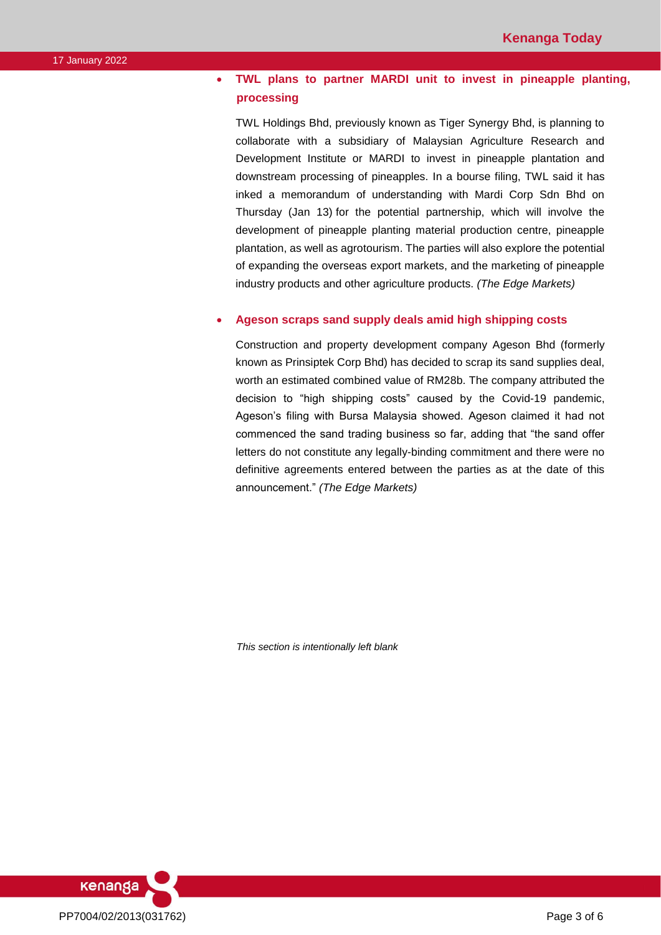## • **TWL plans to partner MARDI unit to invest in pineapple planting, processing**

TWL Holdings Bhd, previously known as Tiger Synergy Bhd, is planning to collaborate with a subsidiary of Malaysian Agriculture Research and Development Institute or MARDI to invest in pineapple plantation and downstream processing of pineapples. In a bourse filing, TWL said it has inked a memorandum of understanding with Mardi Corp Sdn Bhd on Thursday (Jan 13) for the potential partnership, which will involve the development of pineapple planting material production centre, pineapple plantation, as well as agrotourism. The parties will also explore the potential of expanding the overseas export markets, and the marketing of pineapple industry products and other agriculture products. *(The Edge Markets)*

### • **Ageson scraps sand supply deals amid high shipping costs**

Construction and property development company Ageson Bhd (formerly known as Prinsiptek Corp Bhd) has decided to scrap its sand supplies deal, worth an estimated combined value of RM28b. The company attributed the decision to "high shipping costs" caused by the Covid-19 pandemic, Ageson's filing with Bursa Malaysia showed. Ageson claimed it had not commenced the sand trading business so far, adding that "the sand offer letters do not constitute any legally-binding commitment and there were no definitive agreements entered between the parties as at the date of this announcement." *(The Edge Markets)*

*This section is intentionally left blank*

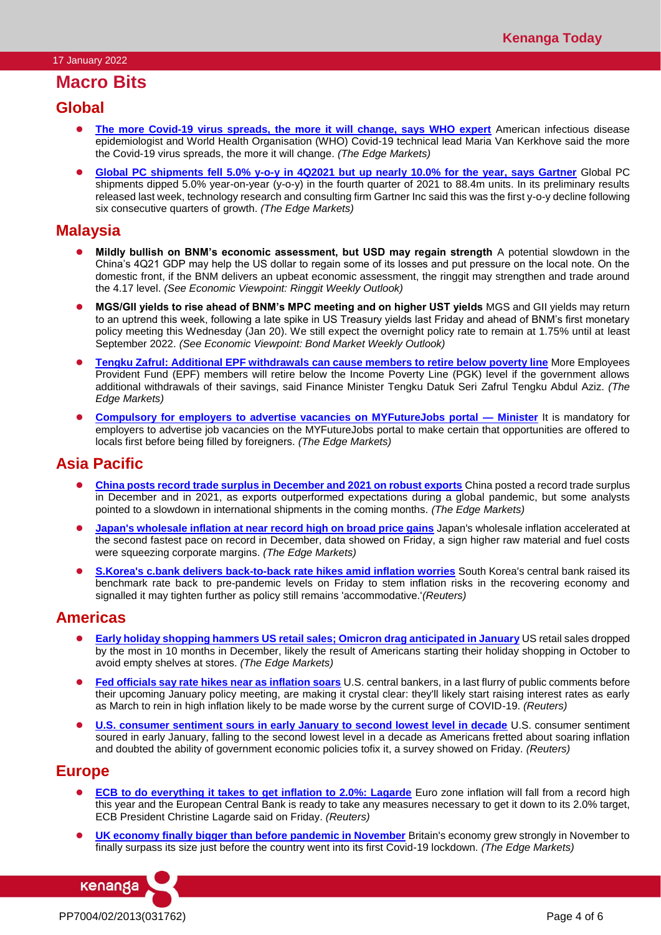# **Macro Bits**

## **Global**

- ⚫ **[The more Covid-19 virus spreads, the more it will change, says WHO expert](https://www.theedgemarkets.com/article/more-covid19-virus-spreads-more-it-will-change-says-who-expert)** American infectious disease epidemiologist and World Health Organisation (WHO) Covid-19 technical lead Maria Van Kerkhove said the more the Covid-19 virus spreads, the more it will change. *(The Edge Markets)*
- [Global PC shipments fell 5.0% y-o-y in 4Q2021 but up nearly 10.0% for the year, says Gartner](https://www.theedgemarkets.com/article/global-pc-shipments-fell-5-yoy-4q2021-nearly-10-year-says-gartner) Global PC shipments dipped 5.0% year-on-year (y-o-y) in the fourth quarter of 2021 to 88.4m units. In its preliminary results released last week, technology research and consulting firm Gartner Inc said this was the first y-o-y decline following six consecutive quarters of growth. *(The Edge Markets)*

### **Malaysia**

- ⚫ **Mildly bullish on BNM's economic assessment, but USD may regain strength** A potential slowdown in the China's 4Q21 GDP may help the US dollar to regain some of its losses and put pressure on the local note. On the domestic front, if the BNM delivers an upbeat economic assessment, the ringgit may strengthen and trade around the 4.17 level. *(See Economic Viewpoint: Ringgit Weekly Outlook)*
- ⚫ **MGS/GII yields to rise ahead of BNM's MPC meeting and on higher UST yields** MGS and GII yields may return to an uptrend this week, following a late spike in US Treasury yields last Friday and ahead of BNM's first monetary policy meeting this Wednesday (Jan 20). We still expect the overnight policy rate to remain at 1.75% until at least September 2022. *(See Economic Viewpoint: Bond Market Weekly Outlook)*
- ⚫ **Tengku Zafrul: Additional EPF withdrawals [can cause members to retire below poverty line](https://www.theedgemarkets.com/article/tengku-zafrul-additional-epf-withdrawals-can-cause-members-retire-below-poverty-line)** More Employees Provident Fund (EPF) members will retire below the Income Poverty Line (PGK) level if the government allows additional withdrawals of their savings, said Finance Minister Tengku Datuk Seri Zafrul Tengku Abdul Aziz. *(The Edge Markets)*
- ⚫ **[Compulsory for employers to advertise vacancies on MYFutureJobs portal —](https://www.theedgemarkets.com/article/compulsory-employers-advertise-vacancies-myfuturejobs-portal-%E2%80%94-minister) Minister** It is mandatory for employers to advertise job vacancies on the MYFutureJobs portal to make certain that opportunities are offered to locals first before being filled by foreigners. *(The Edge Markets)*

# **Asia Pacific**

- ⚫ **[China posts record trade surplus in December and 2021 on robust exports](https://www.theedgemarkets.com/article/chinas-exports-and-imports-grow-more-slowly-december)** China posted a record trade surplus in December and in 2021, as exports outperformed expectations during a global pandemic, but some analysts pointed to a slowdown in international shipments in the coming months. *(The Edge Markets)*
- **[Japan's wholesale inflation at near record high on broad price gains](https://www.theedgemarkets.com/article/japans-wholesale-inflation-near-record-high-broad-price-gains)** Japan's wholesale inflation accelerated at the second fastest pace on record in December, data showed on Friday, a sign higher raw material and fuel costs were squeezing corporate margins. *(The Edge Markets)*
- ⚫ **[S.Korea's c.bank delivers back-to-back rate hikes amid inflation worries](https://www.reuters.com/markets/asia/skoreas-central-bank-raises-rates-amid-inflation-worries-2022-01-14/)** South Korea's central bank raised its benchmark rate back to pre-pandemic levels on Friday to stem inflation risks in the recovering economy and signalled it may tighten further as policy still remains 'accommodative.'*(Reuters)*

## **Americas**

- ⚫ **[Early holiday shopping hammers US retail sales; Omicron drag anticipated in January](https://www.theedgemarkets.com/article/early-holiday-shopping-depressed-us-retail-sales-december)** US retail sales dropped by the most in 10 months in December, likely the result of Americans starting their holiday shopping in October to avoid empty shelves at stores. *(The Edge Markets)*
- ⚫ **[Fed officials say rate hikes near as inflation soars](https://www.reuters.com/world/us/ny-feds-williams-says-omicron-wave-may-slow-growth-temporarily-2022-01-14/)** U.S. central bankers, in a last flurry of public comments before their upcoming January policy meeting, are making it crystal clear: they'll likely start raising interest rates as early as March to rein in high inflation likely to be made worse by the current surge of COVID-19. *(Reuters)*
- **[U.S. consumer sentiment sours in early January to second lowest level in decade](https://www.reuters.com/world/us/us-consumer-sentiment-sours-early-january-second-lowest-level-decade-2022-01-14/)** U.S. consumer sentiment soured in early January, falling to the second lowest level in a decade as Americans fretted about soaring inflation and doubted the ability of government economic policies tofix it, a survey showed on Friday. *(Reuters)*

## **Europe**

- ⚫ **[ECB to do everything it takes to get inflation to 2.0%: Lagarde](https://www.reuters.com/world/europe/ecb-will-do-everything-it-takes-get-inflation-2-lagarde-2022-01-14/)** Euro zone inflation will fall from a record high this year and the European Central Bank is ready to take any measures necessary to get it down to its 2.0% target, ECB President Christine Lagarde said on Friday. *(Reuters)*
- **[UK economy finally bigger than before pandemic in November](https://www.theedgemarkets.com/article/uk-economy-finally-bigger-pandemic-november)** Britain's economy grew strongly in November to finally surpass its size just before the country went into its first Covid-19 lockdown. *(The Edge Markets)*

PP7004/02/2013(031762) Page 4 of 6

kenanga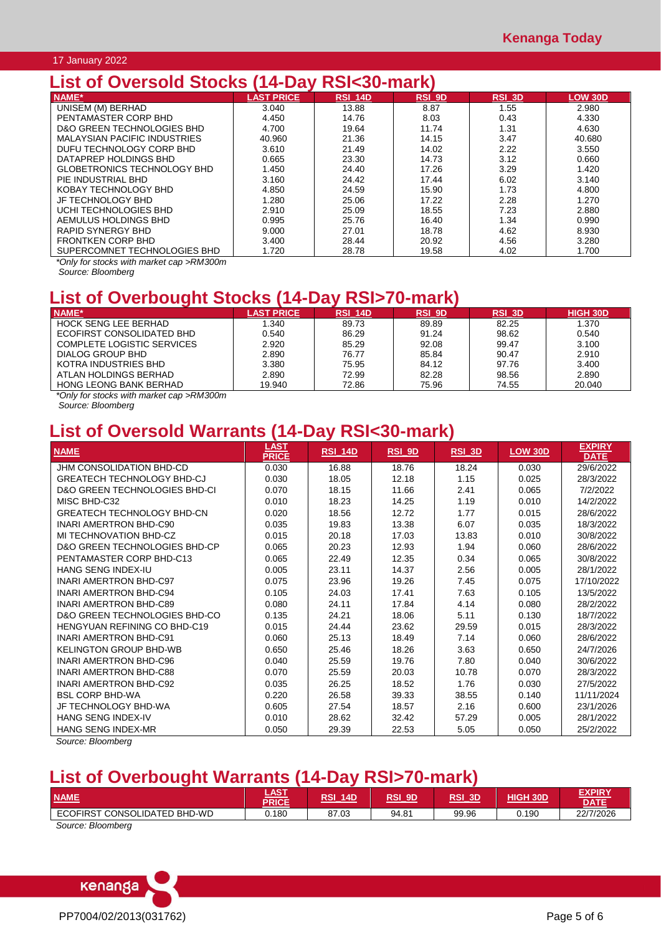### 17 January 2022

# **List of Oversold Stocks (14-Day RSI<30-mark)**

| NAME*                               | <b>LAST PRICE</b> | <b>RSI 14D</b> | <b>RSI 9D</b> | <b>RSI 3D</b> | <b>LOW 30D</b> |
|-------------------------------------|-------------------|----------------|---------------|---------------|----------------|
| UNISEM (M) BERHAD                   | 3.040             | 13.88          | 8.87          | 1.55          | 2.980          |
| PENTAMASTER CORP BHD                | 4.450             | 14.76          | 8.03          | 0.43          | 4.330          |
| D&O GREEN TECHNOLOGIES BHD          | 4.700             | 19.64          | 11.74         | 1.31          | 4.630          |
| <b>MALAYSIAN PACIFIC INDUSTRIES</b> | 40.960            | 21.36          | 14.15         | 3.47          | 40.680         |
| DUFU TECHNOLOGY CORP BHD            | 3.610             | 21.49          | 14.02         | 2.22          | 3.550          |
| DATAPREP HOLDINGS BHD               | 0.665             | 23.30          | 14.73         | 3.12          | 0.660          |
| GLOBETRONICS TECHNOLOGY BHD         | 1.450             | 24.40          | 17.26         | 3.29          | 1.420          |
| PIE INDUSTRIAL BHD                  | 3.160             | 24.42          | 17.44         | 6.02          | 3.140          |
| KOBAY TECHNOLOGY BHD                | 4.850             | 24.59          | 15.90         | 1.73          | 4.800          |
| JF TECHNOLOGY BHD                   | 1.280             | 25.06          | 17.22         | 2.28          | 1.270          |
| UCHI TECHNOLOGIES BHD               | 2.910             | 25.09          | 18.55         | 7.23          | 2.880          |
| AEMULUS HOLDINGS BHD                | 0.995             | 25.76          | 16.40         | 1.34          | 0.990          |
| <b>RAPID SYNERGY BHD</b>            | 9.000             | 27.01          | 18.78         | 4.62          | 8.930          |
| <b>FRONTKEN CORP BHD</b>            | 3.400             | 28.44          | 20.92         | 4.56          | 3.280          |
| SUPERCOMNET TECHNOLOGIES BHD        | 1.720             | 28.78          | 19.58         | 4.02          | 1.700          |

*\*Only for stocks with market cap >RM300m*

*Source: Bloomberg*

# **List of Overbought Stocks (14-Day RSI>70-mark)**

| NAME*                       | <b>AST PRICE</b> | <b>RSI 14D</b> | <b>RSI 9D</b> | <b>RSI 3D</b> | <b>HIGH 30D</b> |
|-----------------------------|------------------|----------------|---------------|---------------|-----------------|
| <b>HOCK SENG LEE BERHAD</b> | 1.340            | 89.73          | 89.89         | 82.25         | 1.370           |
| ECOFIRST CONSOLIDATED BHD   | 0.540            | 86.29          | 91.24         | 98.62         | 0.540           |
| COMPLETE LOGISTIC SERVICES  | 2.920            | 85.29          | 92.08         | 99.47         | 3.100           |
| DIALOG GROUP BHD            | 2.890            | 76.77          | 85.84         | 90.47         | 2.910           |
| KOTRA INDUSTRIES BHD        | 3.380            | 75.95          | 84.12         | 97.76         | 3.400           |
| ATLAN HOLDINGS BERHAD       | 2.890            | 72.99          | 82.28         | 98.56         | 2.890           |
| HONG LEONG BANK BERHAD      | 19.940           | 72.86          | 75.96         | 74.55         | 20.040          |

*\*Only for stocks with market cap >RM300m*

*Source: Bloomberg*

# **List of Oversold Warrants (14-Day RSI<30-mark)**

| <b>NAME</b>                              | <b>LAST</b><br><b>PRICE</b> | <b>RSI_14D</b> | RSI 9D | $RSI$ 3D | <b>LOW 30D</b> | <b>EXPIRY</b><br><b>DATE</b> |
|------------------------------------------|-----------------------------|----------------|--------|----------|----------------|------------------------------|
| JHM CONSOLIDATION BHD-CD                 | 0.030                       | 16.88          | 18.76  | 18.24    | 0.030          | 29/6/2022                    |
| <b>GREATECH TECHNOLOGY BHD-CJ</b>        | 0.030                       | 18.05          | 12.18  | 1.15     | 0.025          | 28/3/2022                    |
| <b>D&amp;O GREEN TECHNOLOGIES BHD-CI</b> | 0.070                       | 18.15          | 11.66  | 2.41     | 0.065          | 7/2/2022                     |
| MISC BHD-C32                             | 0.010                       | 18.23          | 14.25  | 1.19     | 0.010          | 14/2/2022                    |
| <b>GREATECH TECHNOLOGY BHD-CN</b>        | 0.020                       | 18.56          | 12.72  | 1.77     | 0.015          | 28/6/2022                    |
| <b>INARI AMERTRON BHD-C90</b>            | 0.035                       | 19.83          | 13.38  | 6.07     | 0.035          | 18/3/2022                    |
| MI TECHNOVATION BHD-CZ                   | 0.015                       | 20.18          | 17.03  | 13.83    | 0.010          | 30/8/2022                    |
| <b>D&amp;O GREEN TECHNOLOGIES BHD-CP</b> | 0.065                       | 20.23          | 12.93  | 1.94     | 0.060          | 28/6/2022                    |
| PENTAMASTER CORP BHD-C13                 | 0.065                       | 22.49          | 12.35  | 0.34     | 0.065          | 30/8/2022                    |
| HANG SENG INDEX-IU                       | 0.005                       | 23.11          | 14.37  | 2.56     | 0.005          | 28/1/2022                    |
| <b>INARI AMERTRON BHD-C97</b>            | 0.075                       | 23.96          | 19.26  | 7.45     | 0.075          | 17/10/2022                   |
| <b>INARI AMERTRON BHD-C94</b>            | 0.105                       | 24.03          | 17.41  | 7.63     | 0.105          | 13/5/2022                    |
| <b>INARI AMERTRON BHD-C89</b>            | 0.080                       | 24.11          | 17.84  | 4.14     | 0.080          | 28/2/2022                    |
| D&O GREEN TECHNOLOGIES BHD-CO            | 0.135                       | 24.21          | 18.06  | 5.11     | 0.130          | 18/7/2022                    |
| <b>HENGYUAN REFINING CO BHD-C19</b>      | 0.015                       | 24.44          | 23.62  | 29.59    | 0.015          | 28/3/2022                    |
| <b>INARI AMERTRON BHD-C91</b>            | 0.060                       | 25.13          | 18.49  | 7.14     | 0.060          | 28/6/2022                    |
| KELINGTON GROUP BHD-WB                   | 0.650                       | 25.46          | 18.26  | 3.63     | 0.650          | 24/7/2026                    |
| <b>INARI AMERTRON BHD-C96</b>            | 0.040                       | 25.59          | 19.76  | 7.80     | 0.040          | 30/6/2022                    |
| <b>INARI AMERTRON BHD-C88</b>            | 0.070                       | 25.59          | 20.03  | 10.78    | 0.070          | 28/3/2022                    |
| <b>INARI AMERTRON BHD-C92</b>            | 0.035                       | 26.25          | 18.52  | 1.76     | 0.030          | 27/5/2022                    |
| <b>BSL CORP BHD-WA</b>                   | 0.220                       | 26.58          | 39.33  | 38.55    | 0.140          | 11/11/2024                   |
| JF TECHNOLOGY BHD-WA                     | 0.605                       | 27.54          | 18.57  | 2.16     | 0.600          | 23/1/2026                    |
| <b>HANG SENG INDEX-IV</b>                | 0.010                       | 28.62          | 32.42  | 57.29    | 0.005          | 28/1/2022                    |
| <b>HANG SENG INDEX-MR</b>                | 0.050                       | 29.39          | 22.53  | 5.05     | 0.050          | 25/2/2022                    |

*Source: Bloomberg*

# **List of Overbought Warrants (14-Day RSI>70-mark)**

| <b>NAME</b>                                                                      | <b>LAST</b><br><b>PRICE</b> | RSI<br><b>14D</b> | RSI<br>-9D | <b>RSI 3D</b> | <b>HIGH 30D</b> | <u>EXPIRY</u><br><b>DATE</b> |
|----------------------------------------------------------------------------------|-----------------------------|-------------------|------------|---------------|-----------------|------------------------------|
| ECOFIRST CONSOLIDATED BHD-WD                                                     | .180                        | 87.03             | 94.81      | 99.96         | 0.190           | 22/7/2026                    |
| $\mathbf{O}$ and $\mathbf{O}$ and $\mathbf{O}$ and $\mathbf{O}$ and $\mathbf{O}$ |                             |                   |            |               |                 |                              |

*Source: Bloomberg*